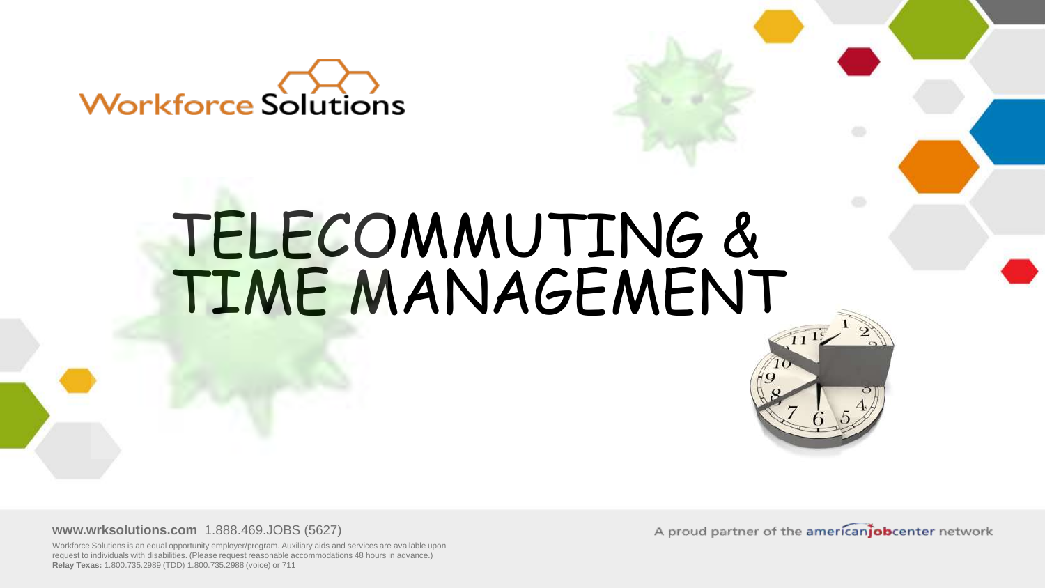

### TELECOMMUTING & TIME MANAGEMENT

**www.wrksolutions.com** 1.888.469.JOBS (5627)

Workforce Solutions is an equal opportunity employer/program. Auxiliary aids and services are available upon request to individuals with disabilities. (Please request reasonable accommodations 48 hours in advance.) **Relay Texas:** 1.800.735.2989 (TDD) 1.800.735.2988 (voice) or 711

A proud partner of the americaniobcenter network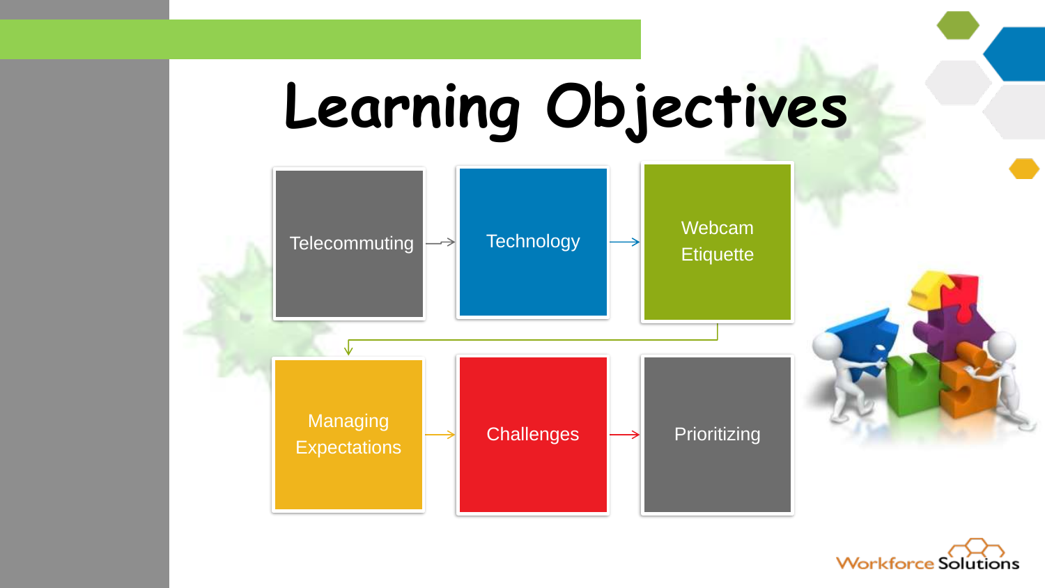

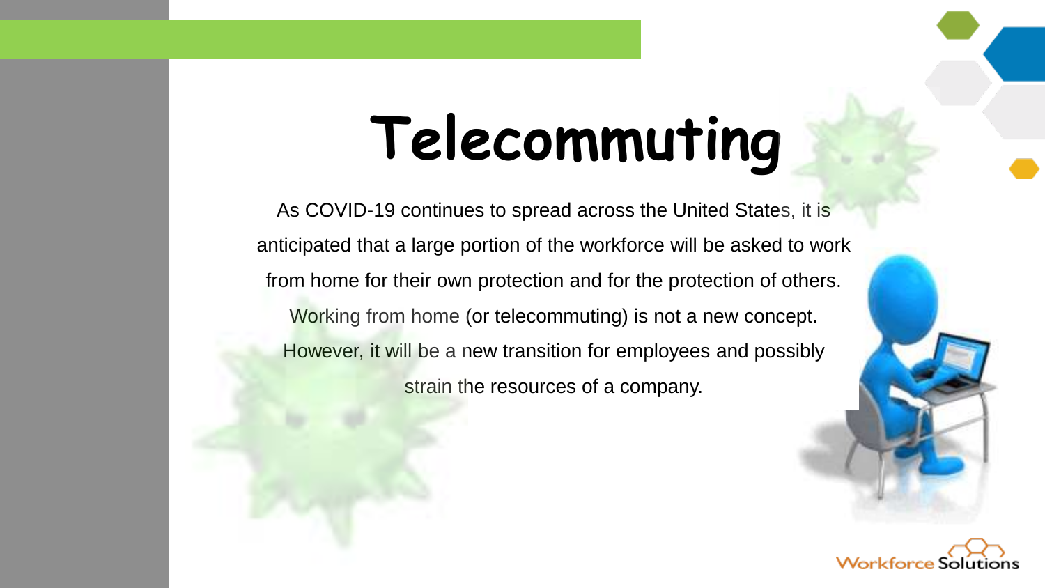## **Telecommuting**

As COVID-19 continues to spread across the United States, it is anticipated that a large portion of the workforce will be asked to work from home for their own protection and for the protection of others. Working from home (or telecommuting) is not a new concept. However, it will be a new transition for employees and possibly strain the resources of a company.

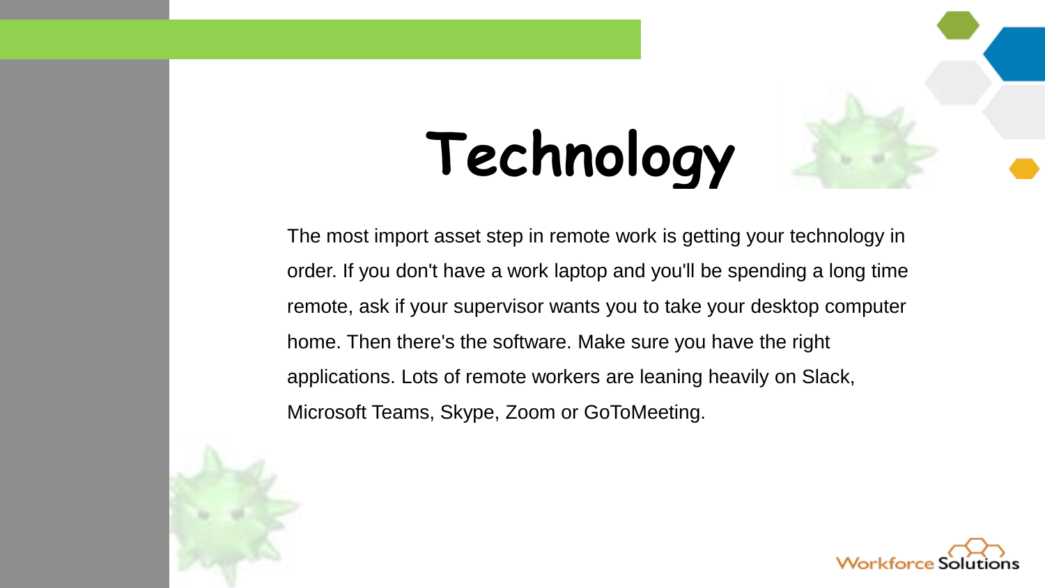# **Technology**

The most import asset step in remote work is getting your technology in order. If you don't have a work laptop and you'll be spending a long time remote, ask if your supervisor wants you to take your desktop computer home. Then there's the software. Make sure you have the right applications. Lots of remote workers are leaning heavily on Slack, Microsoft Teams, Skype, Zoom or GoToMeeting.



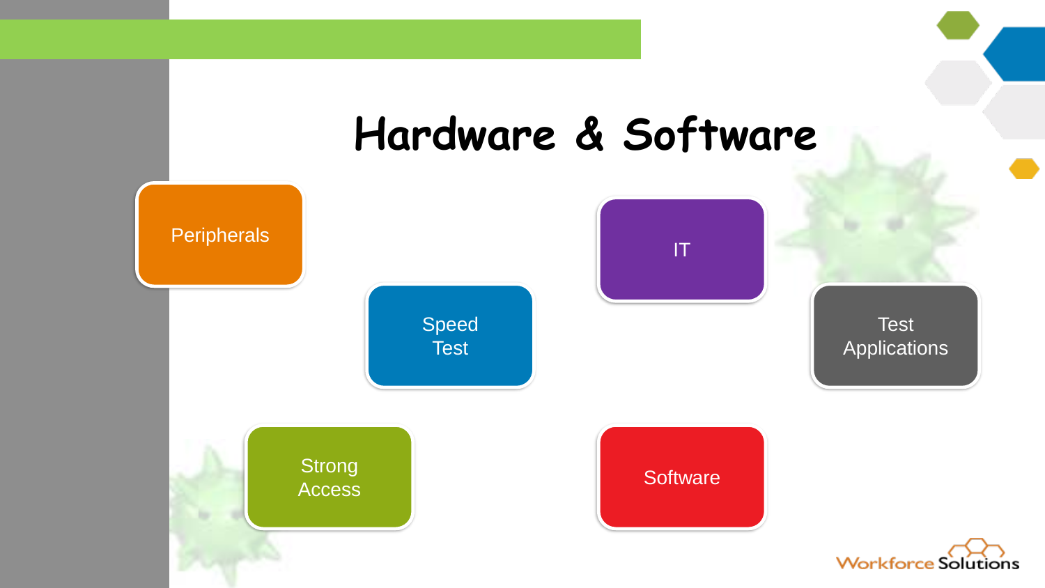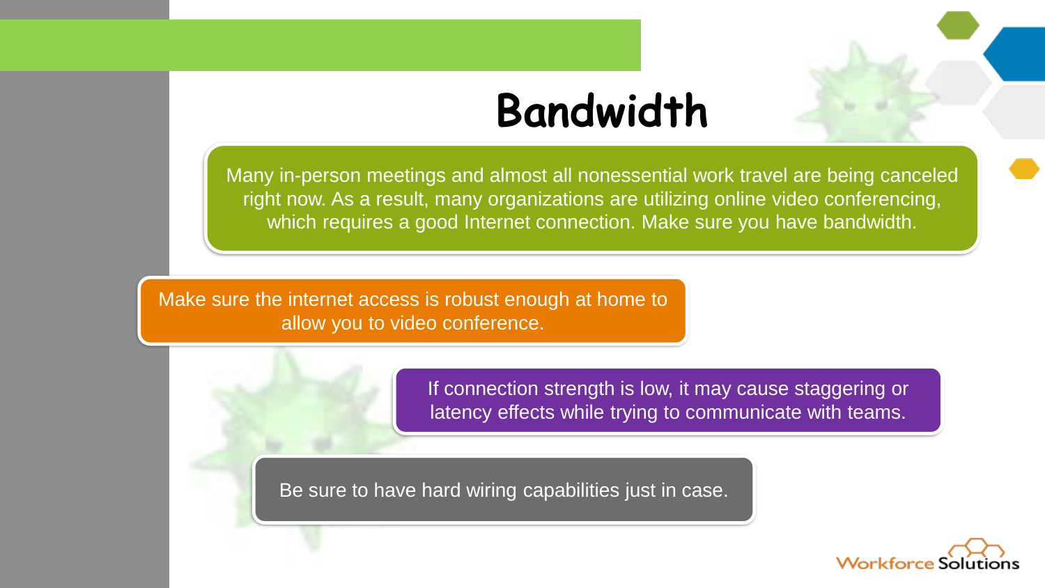#### **Bandwidth**

Many in-person meetings and almost all nonessential work travel are being canceled right now. As a result, many organizations are utilizing online video conferencing, which requires a good Internet connection. Make sure you have bandwidth.

Make sure the internet access is robust enough at home to allow you to video conference.



If connection strength is low, it may cause staggering or latency effects while trying to communicate with teams.

Be sure to have hard wiring capabilities just in case.

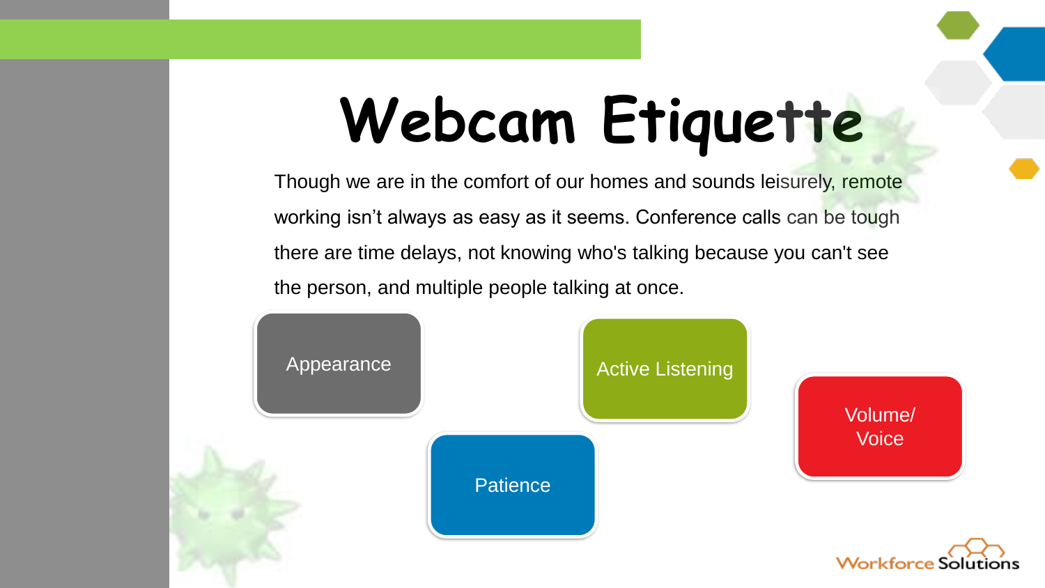## **Webcam Etiquette**

Though we are in the comfort of our homes and sounds leisurely, remote working isn't always as easy as it seems. Conference calls can be tough there are time delays, not knowing who's talking because you can't see the person, and multiple people talking at once.

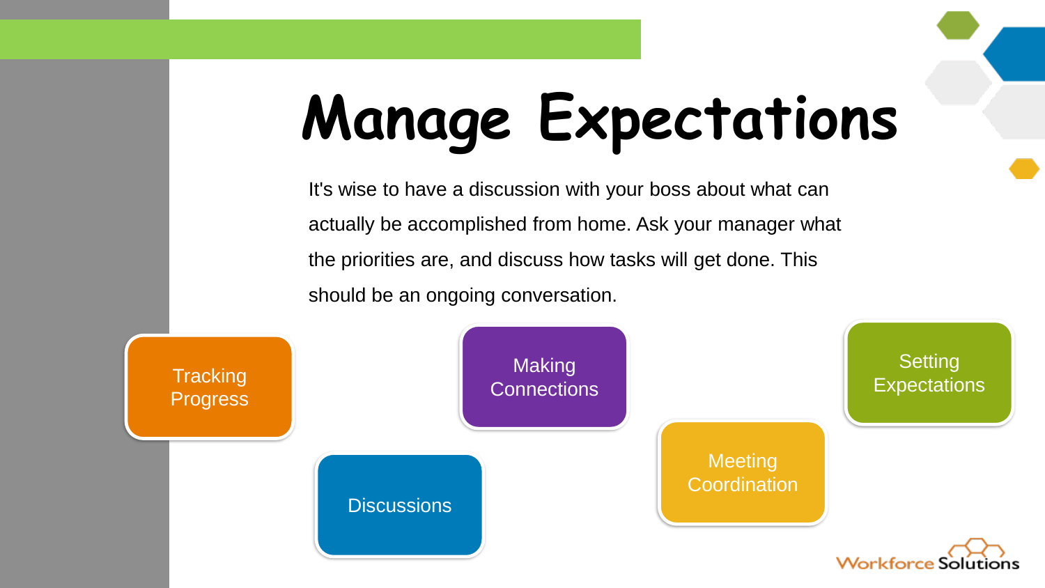## **Manage Expectations**

It's wise to have a discussion with your boss about what can actually be accomplished from home. Ask your manager what the priorities are, and discuss how tasks will get done. This should be an ongoing conversation.

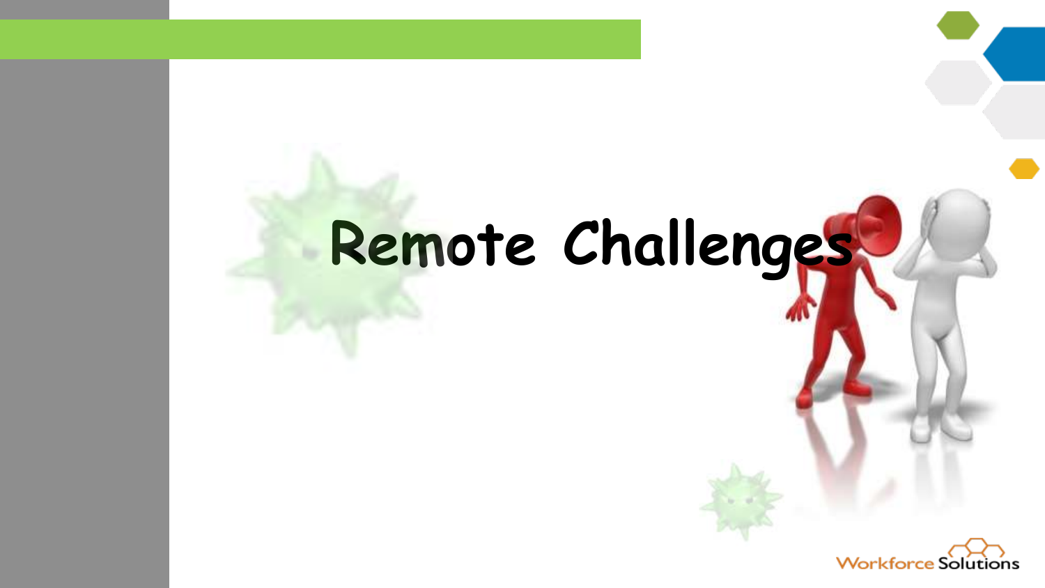### **Remote Challenges**

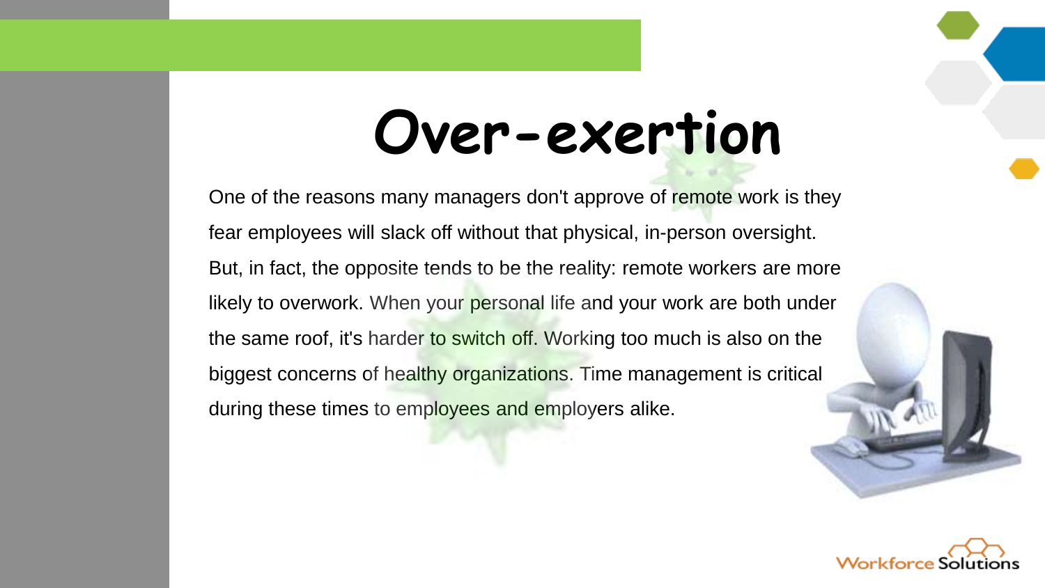### **Over-exertion**

One of the reasons many managers don't approve of remote work is they fear employees will slack off without that physical, in-person oversight. But, in fact, the opposite tends to be the reality: remote workers are more likely to overwork. When your personal life and your work are both under the same roof, it's harder to switch off. Working too much is also on the biggest concerns of healthy organizations. Time management is critical during these times to employees and employers alike.

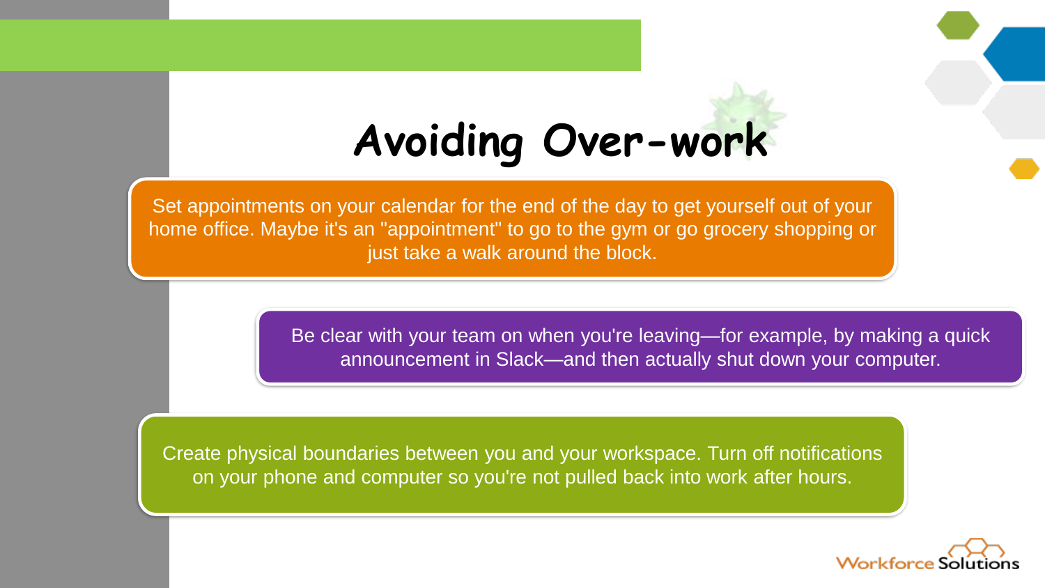#### **Avoiding Over-work**

Set appointments on your calendar for the end of the day to get yourself out of your home office. Maybe it's an "appointment" to go to the gym or go grocery shopping or just take a walk around the block.

> Be clear with your team on when you're leaving—for example, by making a quick announcement in Slack—and then actually shut down your computer.

Create physical boundaries between you and your workspace. Turn off notifications on your phone and computer so you're not pulled back into work after hours.

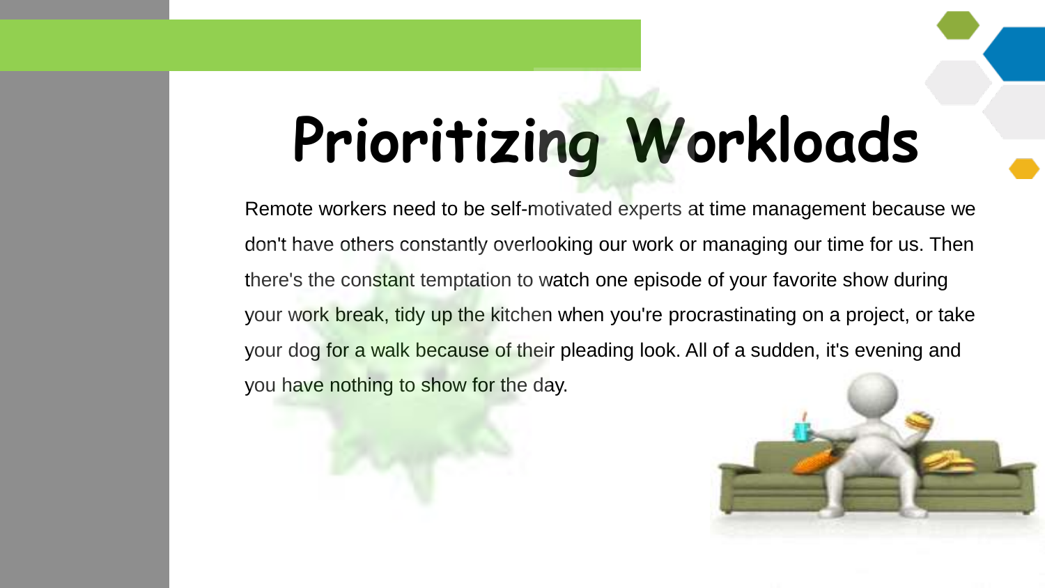# **Prioritizing Workloads**

Remote workers need to be self-motivated experts at time management because we don't have others constantly overlooking our work or managing our time for us. Then there's the constant temptation to watch one episode of your favorite show during your work break, tidy up the kitchen when you're procrastinating on a project, or take your dog for a walk because of their pleading look. All of a sudden, it's evening and you have nothing to show for the day.

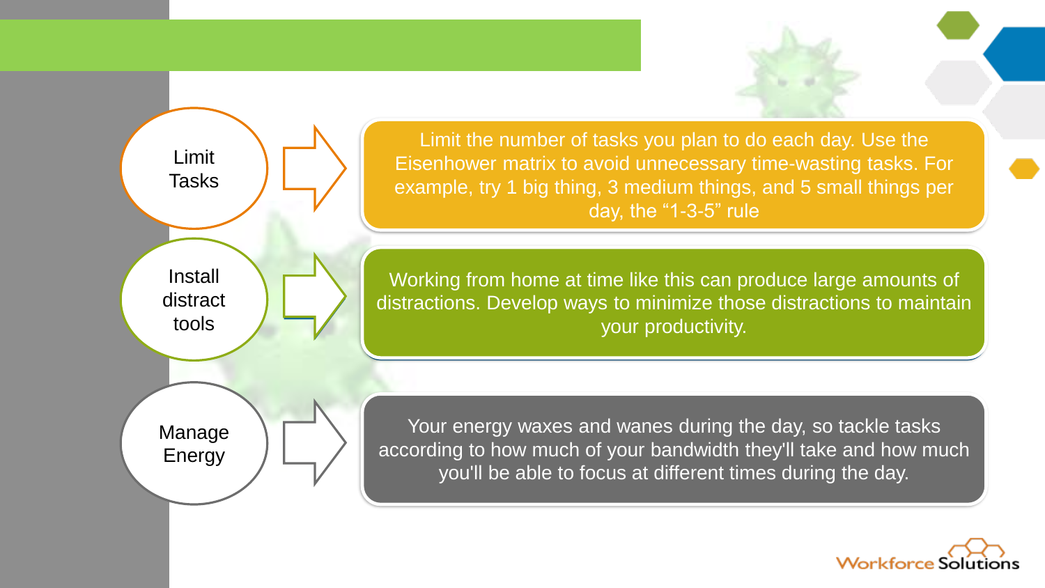Limit Tasks Install distract tools Manage Energy

Limit the number of tasks you plan to do each day. Use the Eisenhower matrix to avoid unnecessary time-wasting tasks. For example, try 1 big thing, 3 medium things, and 5 small things per day, the "1-3-5" rule

Working from home at time like this can produce large amounts of distractions. Develop ways to minimize those distractions to maintain distractions. Develop ways to minimize those distractions to maintain your productivity.

Your energy waxes and wanes during the day, so tackle tasks according to how much of your bandwidth they'll take and how much you'll be able to focus at different times during the day.

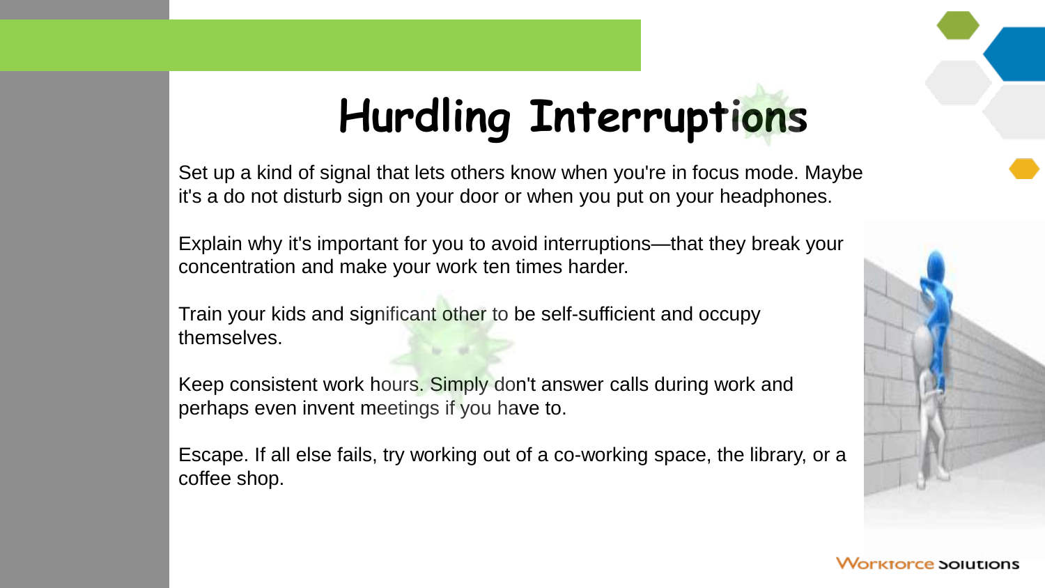#### **Hurdling Interruptions**

Set up a kind of signal that lets others know when you're in focus mode. Maybe it's a do not disturb sign on your door or when you put on your headphones.

Explain why it's important for you to avoid interruptions—that they break your concentration and make your work ten times harder.

Train your kids and significant other to be self-sufficient and occupy themselves.

Keep consistent work hours. Simply don't answer calls during work and perhaps even invent meetings if you have to.

Escape. If all else fails, try working out of a co-working space, the library, or a coffee shop.

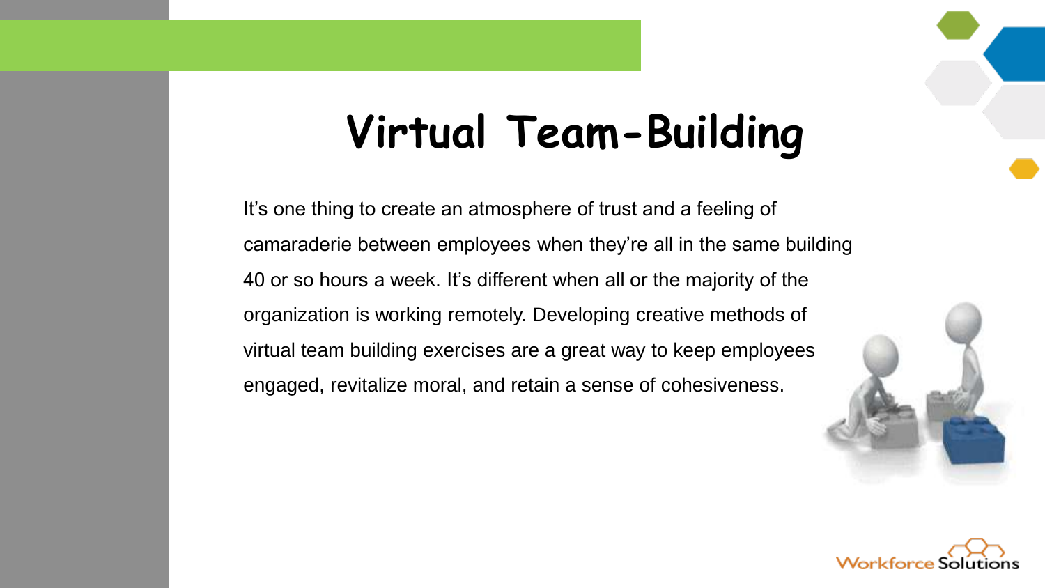#### **Virtual Team-Building**

It's one thing to create an atmosphere of trust and a feeling of camaraderie between employees when they're all in the same building 40 or so hours a week. It's different when all or the majority of the organization is working remotely. Developing creative methods of virtual team building exercises are a great way to keep employees engaged, revitalize moral, and retain a sense of cohesiveness.



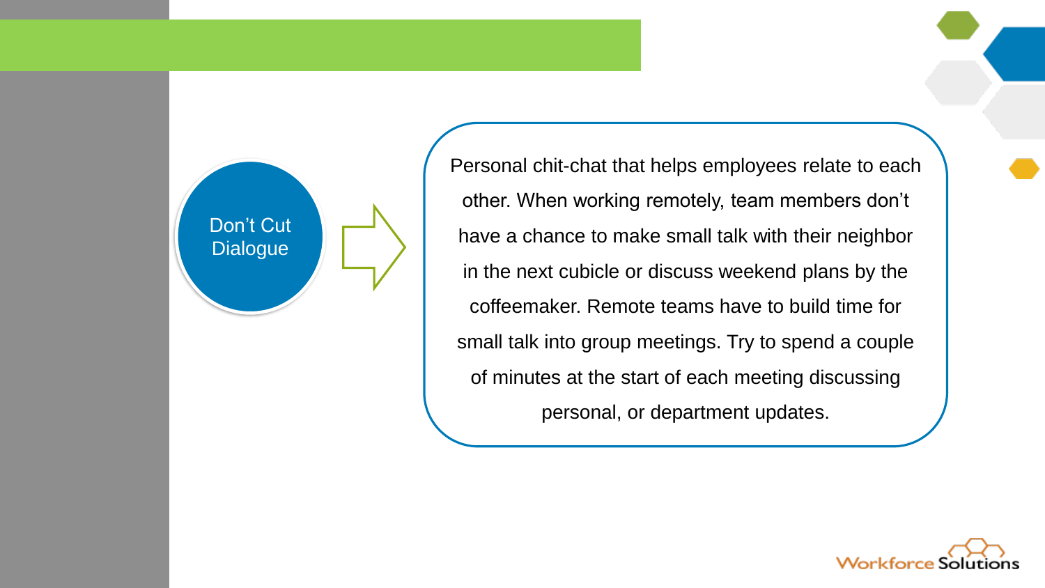

Personal chit-chat that helps employees relate to each other. When working remotely, team members don't have a chance to make small talk with their neighbor in the next cubicle or discuss weekend plans by the coffeemaker. Remote teams have to build time for small talk into group meetings. Try to spend a couple of minutes at the start of each meeting discussing personal, or department updates.